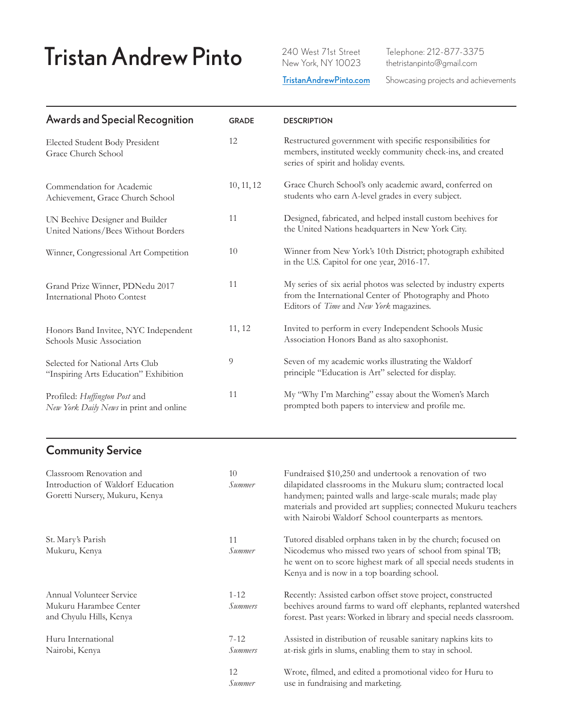## Tristan Andrew Pinto 240 West 71st Street

 Telephone: 212-877-3375 thetristanpinto@gmail.com

**[TristanAndrewPinto.com](www.TristanAndrewPinto.com)** Showcasing projects and achievements

| <b>Awards and Special Recognition</b>                                    | <b>GRADE</b> | <b>DESCRIPTION</b>                                                                                                                                                   |
|--------------------------------------------------------------------------|--------------|----------------------------------------------------------------------------------------------------------------------------------------------------------------------|
| Elected Student Body President<br>Grace Church School                    | 12           | Restructured government with specific responsibilities for<br>members, instituted weekly community check-ins, and created<br>series of spirit and holiday events.    |
| Commendation for Academic<br>Achievement, Grace Church School            | 10, 11, 12   | Grace Church School's only academic award, conferred on<br>students who earn A-level grades in every subject.                                                        |
| UN Beehive Designer and Builder<br>United Nations/Bees Without Borders   | 11           | Designed, fabricated, and helped install custom beehives for<br>the United Nations headquarters in New York City.                                                    |
| Winner, Congressional Art Competition                                    | 10           | Winner from New York's 10th District; photograph exhibited<br>in the U.S. Capitol for one year, 2016-17.                                                             |
| Grand Prize Winner, PDNedu 2017<br><b>International Photo Contest</b>    | 11           | My series of six aerial photos was selected by industry experts<br>from the International Center of Photography and Photo<br>Editors of Time and New York magazines. |
| Honors Band Invitee, NYC Independent<br>Schools Music Association        | 11, 12       | Invited to perform in every Independent Schools Music<br>Association Honors Band as alto saxophonist.                                                                |
| Selected for National Arts Club<br>"Inspiring Arts Education" Exhibition | 9            | Seven of my academic works illustrating the Waldorf<br>principle "Education is Art" selected for display.                                                            |
| Profiled: Huffington Post and<br>New York Daily News in print and online | 11           | My "Why I'm Marching" essay about the Women's March<br>prompted both papers to interview and profile me.                                                             |

## **Community Service**

| Classroom Renovation and<br>Introduction of Waldorf Education<br>Goretti Nursery, Mukuru, Kenya | 10 <sup>2</sup><br>Summer  | Fundraised \$10,250 and undertook a renovation of two<br>dilapidated classrooms in the Mukuru slum; contracted local<br>handymen; painted walls and large-scale murals; made play<br>materials and provided art supplies; connected Mukuru teachers<br>with Nairobi Waldorf School counterparts as mentors. |
|-------------------------------------------------------------------------------------------------|----------------------------|-------------------------------------------------------------------------------------------------------------------------------------------------------------------------------------------------------------------------------------------------------------------------------------------------------------|
| St. Mary's Parish                                                                               | 11                         | Tutored disabled orphans taken in by the church; focused on                                                                                                                                                                                                                                                 |
| Mukuru, Kenya                                                                                   | Summer                     | Nicodemus who missed two years of school from spinal TB;<br>he went on to score highest mark of all special needs students in<br>Kenya and is now in a top boarding school.                                                                                                                                 |
| Annual Volunteer Service                                                                        | $1 - 12$                   | Recently: Assisted carbon offset stove project, constructed                                                                                                                                                                                                                                                 |
| Mukuru Harambee Center<br>and Chyulu Hills, Kenya                                               | <i>Summers</i>             | beehives around farms to ward off elephants, replanted watershed<br>forest. Past years: Worked in library and special needs classroom.                                                                                                                                                                      |
| Huru International<br>Nairobi, Kenya                                                            | $7 - 12$<br><i>Summers</i> | Assisted in distribution of reusable sanitary napkins kits to<br>at-risk girls in slums, enabling them to stay in school.                                                                                                                                                                                   |
|                                                                                                 | 12<br>Summer               | Wrote, filmed, and edited a promotional video for Huru to<br>use in fundraising and marketing.                                                                                                                                                                                                              |